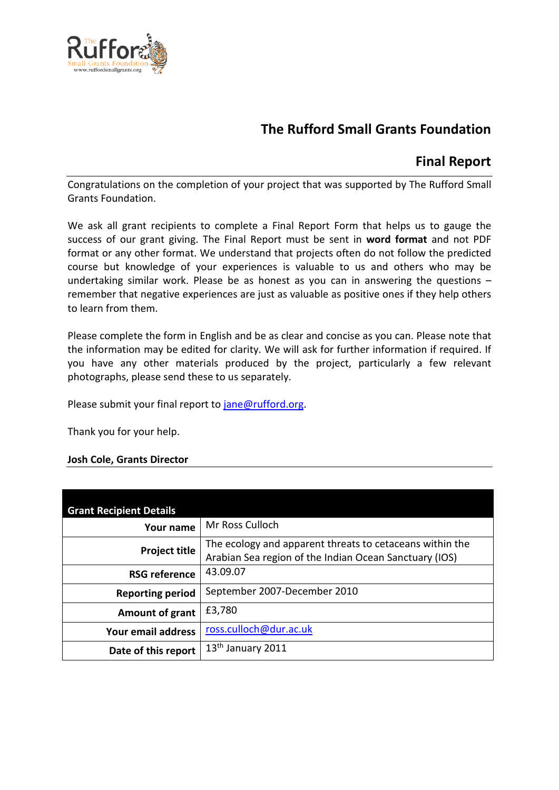

# **The Rufford Small Grants Foundation**

## **Final Report**

Congratulations on the completion of your project that was supported by The Rufford Small Grants Foundation.

We ask all grant recipients to complete a Final Report Form that helps us to gauge the success of our grant giving. The Final Report must be sent in **word format** and not PDF format or any other format. We understand that projects often do not follow the predicted course but knowledge of your experiences is valuable to us and others who may be undertaking similar work. Please be as honest as you can in answering the questions – remember that negative experiences are just as valuable as positive ones if they help others to learn from them.

Please complete the form in English and be as clear and concise as you can. Please note that the information may be edited for clarity. We will ask for further information if required. If you have any other materials produced by the project, particularly a few relevant photographs, please send these to us separately.

Please submit your final report to [jane@rufford.org.](mailto:jane@rufford.org)

Thank you for your help.

## **Josh Cole, Grants Director**

| <b>Grant Recipient Details</b> |                                                                                                                    |
|--------------------------------|--------------------------------------------------------------------------------------------------------------------|
| Your name                      | Mr Ross Culloch                                                                                                    |
| <b>Project title</b>           | The ecology and apparent threats to cetaceans within the<br>Arabian Sea region of the Indian Ocean Sanctuary (IOS) |
| <b>RSG reference</b>           | 43.09.07                                                                                                           |
| <b>Reporting period</b>        | September 2007-December 2010                                                                                       |
| Amount of grant                | £3,780                                                                                                             |
| Your email address             | ross.culloch@dur.ac.uk                                                                                             |
| Date of this report            | 13 <sup>th</sup> January 2011                                                                                      |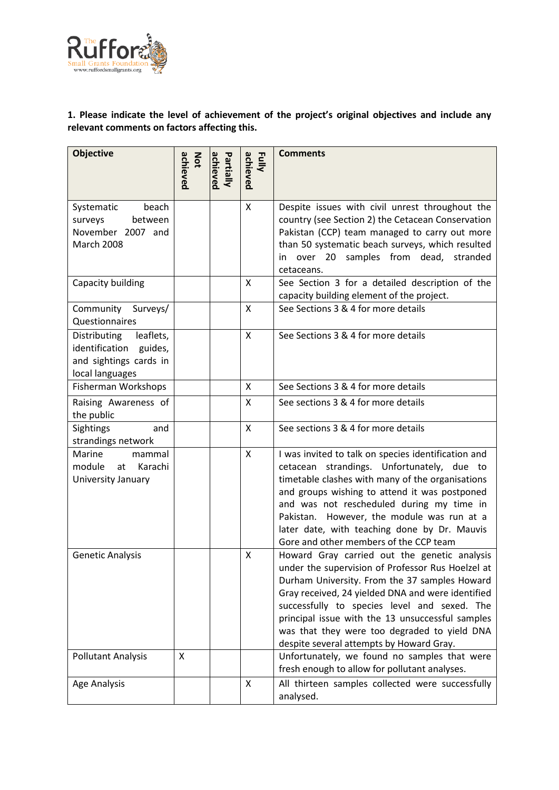

## **1. Please indicate the level of achievement of the project's original objectives and include any relevant comments on factors affecting this.**

| <b>Objective</b>                                                                                 | achieved<br>Not | achieved<br>Partially | achieved<br>Fully | <b>Comments</b>                                                                                                                                                                                                                                                                                                                                                                                         |
|--------------------------------------------------------------------------------------------------|-----------------|-----------------------|-------------------|---------------------------------------------------------------------------------------------------------------------------------------------------------------------------------------------------------------------------------------------------------------------------------------------------------------------------------------------------------------------------------------------------------|
| beach<br>Systematic<br>surveys<br>between<br>November 2007 and<br><b>March 2008</b>              |                 |                       | Χ                 | Despite issues with civil unrest throughout the<br>country (see Section 2) the Cetacean Conservation<br>Pakistan (CCP) team managed to carry out more<br>than 50 systematic beach surveys, which resulted<br>in over 20 samples from dead, stranded<br>cetaceans.                                                                                                                                       |
| Capacity building                                                                                |                 |                       | X                 | See Section 3 for a detailed description of the<br>capacity building element of the project.                                                                                                                                                                                                                                                                                                            |
| Community<br>Surveys/<br>Questionnaires                                                          |                 |                       | X                 | See Sections 3 & 4 for more details                                                                                                                                                                                                                                                                                                                                                                     |
| Distributing<br>leaflets,<br>identification guides,<br>and sightings cards in<br>local languages |                 |                       | X                 | See Sections 3 & 4 for more details                                                                                                                                                                                                                                                                                                                                                                     |
| Fisherman Workshops                                                                              |                 |                       | X                 | See Sections 3 & 4 for more details                                                                                                                                                                                                                                                                                                                                                                     |
| Raising Awareness of<br>the public                                                               |                 |                       | X                 | See sections 3 & 4 for more details                                                                                                                                                                                                                                                                                                                                                                     |
| Sightings<br>and<br>strandings network                                                           |                 |                       | X                 | See sections 3 & 4 for more details                                                                                                                                                                                                                                                                                                                                                                     |
| Marine<br>mammal<br>Karachi<br>module<br>at<br>University January                                |                 |                       | $\mathsf{x}$      | I was invited to talk on species identification and<br>cetacean strandings. Unfortunately, due to<br>timetable clashes with many of the organisations<br>and groups wishing to attend it was postponed<br>and was not rescheduled during my time in<br>Pakistan. However, the module was run at a<br>later date, with teaching done by Dr. Mauvis<br>Gore and other members of the CCP team             |
| <b>Genetic Analysis</b>                                                                          |                 |                       | X                 | Howard Gray carried out the genetic analysis<br>under the supervision of Professor Rus Hoelzel at<br>Durham University. From the 37 samples Howard<br>Gray received, 24 yielded DNA and were identified<br>successfully to species level and sexed. The<br>principal issue with the 13 unsuccessful samples<br>was that they were too degraded to yield DNA<br>despite several attempts by Howard Gray. |
| <b>Pollutant Analysis</b>                                                                        | X               |                       |                   | Unfortunately, we found no samples that were<br>fresh enough to allow for pollutant analyses.                                                                                                                                                                                                                                                                                                           |
| Age Analysis                                                                                     |                 |                       | X                 | All thirteen samples collected were successfully<br>analysed.                                                                                                                                                                                                                                                                                                                                           |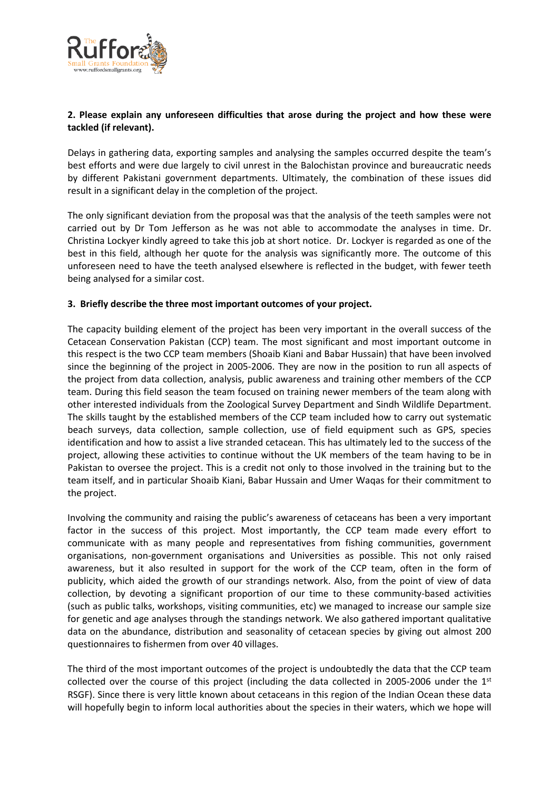

## **2. Please explain any unforeseen difficulties that arose during the project and how these were tackled (if relevant).**

Delays in gathering data, exporting samples and analysing the samples occurred despite the team's best efforts and were due largely to civil unrest in the Balochistan province and bureaucratic needs by different Pakistani government departments. Ultimately, the combination of these issues did result in a significant delay in the completion of the project.

The only significant deviation from the proposal was that the analysis of the teeth samples were not carried out by Dr Tom Jefferson as he was not able to accommodate the analyses in time. Dr. Christina Lockyer kindly agreed to take this job at short notice. Dr. Lockyer is regarded as one of the best in this field, although her quote for the analysis was significantly more. The outcome of this unforeseen need to have the teeth analysed elsewhere is reflected in the budget, with fewer teeth being analysed for a similar cost.

#### **3. Briefly describe the three most important outcomes of your project.**

The capacity building element of the project has been very important in the overall success of the Cetacean Conservation Pakistan (CCP) team. The most significant and most important outcome in this respect is the two CCP team members (Shoaib Kiani and Babar Hussain) that have been involved since the beginning of the project in 2005-2006. They are now in the position to run all aspects of the project from data collection, analysis, public awareness and training other members of the CCP team. During this field season the team focused on training newer members of the team along with other interested individuals from the Zoological Survey Department and Sindh Wildlife Department. The skills taught by the established members of the CCP team included how to carry out systematic beach surveys, data collection, sample collection, use of field equipment such as GPS, species identification and how to assist a live stranded cetacean. This has ultimately led to the success of the project, allowing these activities to continue without the UK members of the team having to be in Pakistan to oversee the project. This is a credit not only to those involved in the training but to the team itself, and in particular Shoaib Kiani, Babar Hussain and Umer Waqas for their commitment to the project.

Involving the community and raising the public's awareness of cetaceans has been a very important factor in the success of this project. Most importantly, the CCP team made every effort to communicate with as many people and representatives from fishing communities, government organisations, non-government organisations and Universities as possible. This not only raised awareness, but it also resulted in support for the work of the CCP team, often in the form of publicity, which aided the growth of our strandings network. Also, from the point of view of data collection, by devoting a significant proportion of our time to these community-based activities (such as public talks, workshops, visiting communities, etc) we managed to increase our sample size for genetic and age analyses through the standings network. We also gathered important qualitative data on the abundance, distribution and seasonality of cetacean species by giving out almost 200 questionnaires to fishermen from over 40 villages.

The third of the most important outcomes of the project is undoubtedly the data that the CCP team collected over the course of this project (including the data collected in 2005-2006 under the 1st RSGF). Since there is very little known about cetaceans in this region of the Indian Ocean these data will hopefully begin to inform local authorities about the species in their waters, which we hope will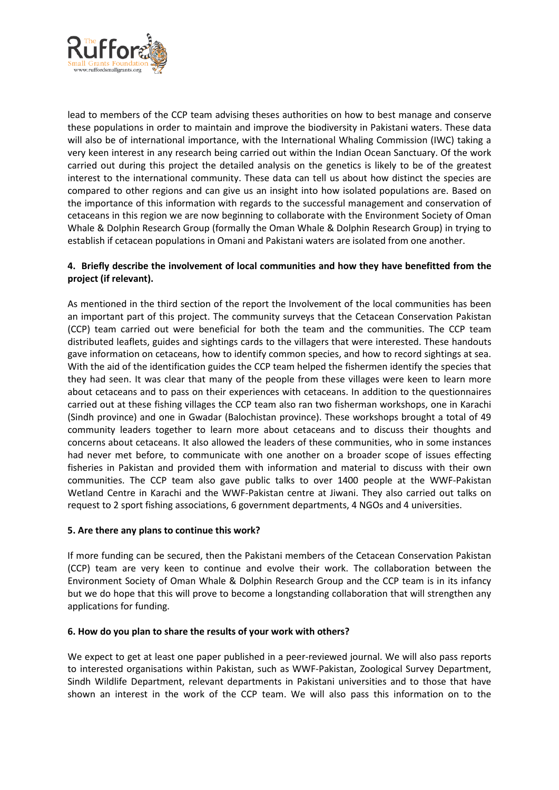

lead to members of the CCP team advising theses authorities on how to best manage and conserve these populations in order to maintain and improve the biodiversity in Pakistani waters. These data will also be of international importance, with the International Whaling Commission (IWC) taking a very keen interest in any research being carried out within the Indian Ocean Sanctuary. Of the work carried out during this project the detailed analysis on the genetics is likely to be of the greatest interest to the international community. These data can tell us about how distinct the species are compared to other regions and can give us an insight into how isolated populations are. Based on the importance of this information with regards to the successful management and conservation of cetaceans in this region we are now beginning to collaborate with the Environment Society of Oman Whale & Dolphin Research Group (formally the Oman Whale & Dolphin Research Group) in trying to establish if cetacean populations in Omani and Pakistani waters are isolated from one another.

## **4. Briefly describe the involvement of local communities and how they have benefitted from the project (if relevant).**

As mentioned in the third section of the report the Involvement of the local communities has been an important part of this project. The community surveys that the Cetacean Conservation Pakistan (CCP) team carried out were beneficial for both the team and the communities. The CCP team distributed leaflets, guides and sightings cards to the villagers that were interested. These handouts gave information on cetaceans, how to identify common species, and how to record sightings at sea. With the aid of the identification guides the CCP team helped the fishermen identify the species that they had seen. It was clear that many of the people from these villages were keen to learn more about cetaceans and to pass on their experiences with cetaceans. In addition to the questionnaires carried out at these fishing villages the CCP team also ran two fisherman workshops, one in Karachi (Sindh province) and one in Gwadar (Balochistan province). These workshops brought a total of 49 community leaders together to learn more about cetaceans and to discuss their thoughts and concerns about cetaceans. It also allowed the leaders of these communities, who in some instances had never met before, to communicate with one another on a broader scope of issues effecting fisheries in Pakistan and provided them with information and material to discuss with their own communities. The CCP team also gave public talks to over 1400 people at the WWF-Pakistan Wetland Centre in Karachi and the WWF-Pakistan centre at Jiwani. They also carried out talks on request to 2 sport fishing associations, 6 government departments, 4 NGOs and 4 universities.

#### **5. Are there any plans to continue this work?**

If more funding can be secured, then the Pakistani members of the Cetacean Conservation Pakistan (CCP) team are very keen to continue and evolve their work. The collaboration between the Environment Society of Oman Whale & Dolphin Research Group and the CCP team is in its infancy but we do hope that this will prove to become a longstanding collaboration that will strengthen any applications for funding.

#### **6. How do you plan to share the results of your work with others?**

We expect to get at least one paper published in a peer-reviewed journal. We will also pass reports to interested organisations within Pakistan, such as WWF-Pakistan, Zoological Survey Department, Sindh Wildlife Department, relevant departments in Pakistani universities and to those that have shown an interest in the work of the CCP team. We will also pass this information on to the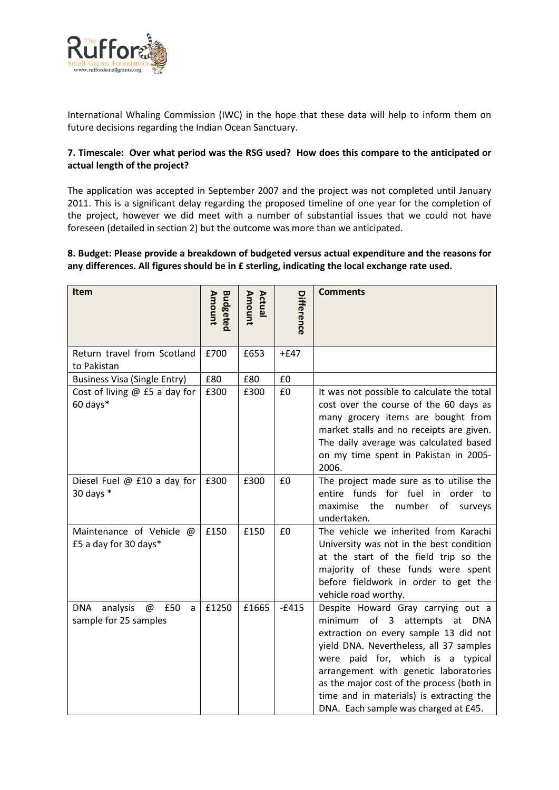

International Whaling Commission (IWC) in the hope that these data will help to inform them on future decisions regarding the Indian Ocean Sanctuary.

#### **7. Timescale: Over what period was the RSG used? How does this compare to the anticipated or actual length of the project?**

The application was accepted in September 2007 and the project was not completed until January 2011. This is a significant delay regarding the proposed timeline of one year for the completion of the project, however we did meet with a number of substantial issues that we could not have foreseen (detailed in section 2) but the outcome was more than we anticipated.

#### **8. Budget: Please provide a breakdown of budgeted versus actual expenditure and the reasons for any differences. All figures should be in £ sterling, indicating the local exchange rate used.**

| Item                                                             | <b>Budgeted</b><br>Amount | Amount<br>Actual | Difference | <b>Comments</b>                                                                                                                                                                                                                                                                                                                                                                              |
|------------------------------------------------------------------|---------------------------|------------------|------------|----------------------------------------------------------------------------------------------------------------------------------------------------------------------------------------------------------------------------------------------------------------------------------------------------------------------------------------------------------------------------------------------|
| Return travel from Scotland<br>to Pakistan                       | £700                      | £653             | $+£47$     |                                                                                                                                                                                                                                                                                                                                                                                              |
| <b>Business Visa (Single Entry)</b>                              | £80                       | £80              | £0         |                                                                                                                                                                                                                                                                                                                                                                                              |
| Cost of living $@$ £5 a day for<br>60 days*                      | £300                      | £300             | £0         | It was not possible to calculate the total<br>cost over the course of the 60 days as<br>many grocery items are bought from<br>market stalls and no receipts are given.<br>The daily average was calculated based<br>on my time spent in Pakistan in 2005-<br>2006.                                                                                                                           |
| Diesel Fuel @ £10 a day for<br>30 days $*$                       | £300                      | £300             | £0         | The project made sure as to utilise the<br>entire funds for fuel in order to<br>maximise<br>the<br>number of<br>surveys<br>undertaken.                                                                                                                                                                                                                                                       |
| Maintenance of Vehicle @<br>£5 a day for 30 days*                | £150                      | £150             | £0         | The vehicle we inherited from Karachi<br>University was not in the best condition<br>at the start of the field trip so the<br>majority of these funds were spent<br>before fieldwork in order to get the<br>vehicle road worthy.                                                                                                                                                             |
| £50<br><b>DNA</b><br>analysis<br>@<br>a<br>sample for 25 samples | £1250                     | £1665            | $-£415$    | Despite Howard Gray carrying out a<br>minimum<br>of <sub>3</sub><br>attempts<br>at<br>DNA<br>extraction on every sample 13 did not<br>yield DNA. Nevertheless, all 37 samples<br>were paid for, which is a typical<br>arrangement with genetic laboratories<br>as the major cost of the process (both in<br>time and in materials) is extracting the<br>DNA. Each sample was charged at £45. |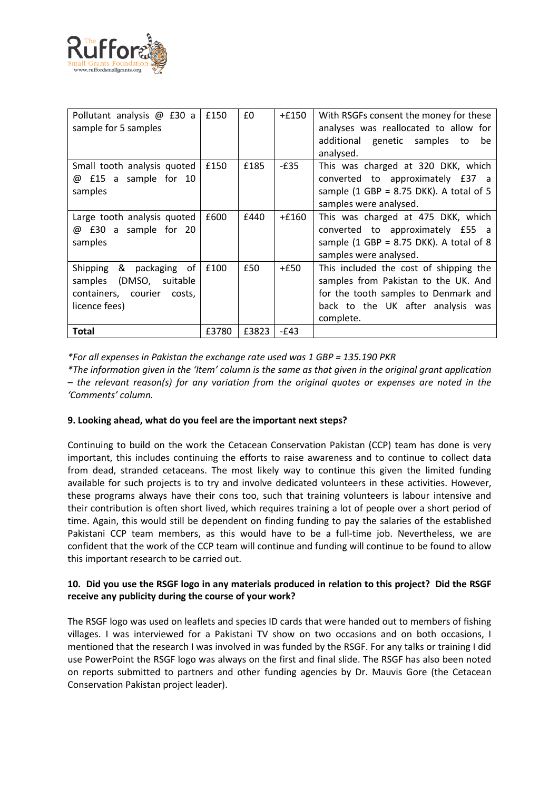

| Pollutant analysis @ £30 a<br>sample for 5 samples                                                | £150  | £0    | $+£150$ | With RSGFs consent the money for these<br>analyses was reallocated to allow for<br>additional genetic samples<br>be<br>to<br>analysed.                                   |
|---------------------------------------------------------------------------------------------------|-------|-------|---------|--------------------------------------------------------------------------------------------------------------------------------------------------------------------------|
| Small tooth analysis quoted<br>£15 a sample for 10<br>@<br>samples                                | £150  | £185  | $-E35$  | This was charged at 320 DKK, which<br>converted to approximately £37 a<br>sample (1 GBP = $8.75$ DKK). A total of 5<br>samples were analysed.                            |
| Large tooth analysis quoted<br>@ £30 a sample for 20<br>samples                                   | £600  | £440  | $+£160$ | This was charged at 475 DKK, which<br>converted to approximately £55 a<br>sample (1 GBP = $8.75$ DKK). A total of 8<br>samples were analysed.                            |
| Shipping & packaging of<br>samples (DMSO, suitable<br>containers, courier costs,<br>licence fees) | £100  | £50   | $+£50$  | This included the cost of shipping the<br>samples from Pakistan to the UK. And<br>for the tooth samples to Denmark and<br>back to the UK after analysis was<br>complete. |
| <b>Total</b>                                                                                      | £3780 | £3823 | $-E43$  |                                                                                                                                                                          |

*\*For all expenses in Pakistan the exchange rate used was 1 GBP = 135.190 PKR*

*\*The information given in the 'Item' column is the same as that given in the original grant application – the relevant reason(s) for any variation from the original quotes or expenses are noted in the 'Comments' column.*

#### **9. Looking ahead, what do you feel are the important next steps?**

Continuing to build on the work the Cetacean Conservation Pakistan (CCP) team has done is very important, this includes continuing the efforts to raise awareness and to continue to collect data from dead, stranded cetaceans. The most likely way to continue this given the limited funding available for such projects is to try and involve dedicated volunteers in these activities. However, these programs always have their cons too, such that training volunteers is labour intensive and their contribution is often short lived, which requires training a lot of people over a short period of time. Again, this would still be dependent on finding funding to pay the salaries of the established Pakistani CCP team members, as this would have to be a full-time job. Nevertheless, we are confident that the work of the CCP team will continue and funding will continue to be found to allow this important research to be carried out.

#### **10. Did you use the RSGF logo in any materials produced in relation to this project? Did the RSGF receive any publicity during the course of your work?**

The RSGF logo was used on leaflets and species ID cards that were handed out to members of fishing villages. I was interviewed for a Pakistani TV show on two occasions and on both occasions, I mentioned that the research I was involved in was funded by the RSGF. For any talks or training I did use PowerPoint the RSGF logo was always on the first and final slide. The RSGF has also been noted on reports submitted to partners and other funding agencies by Dr. Mauvis Gore (the Cetacean Conservation Pakistan project leader).